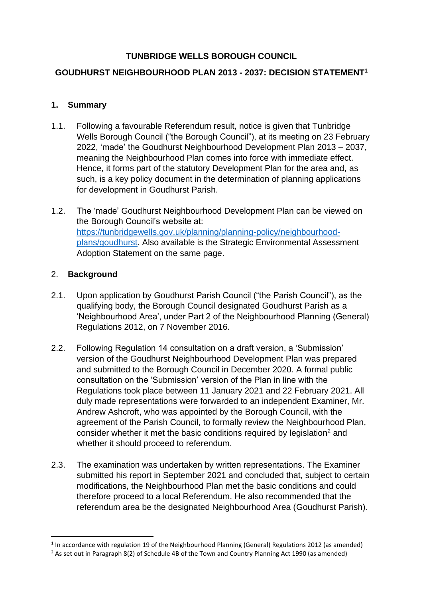## **TUNBRIDGE WELLS BOROUGH COUNCIL**

## **GOUDHURST NEIGHBOURHOOD PLAN 2013 - 2037: DECISION STATEMENT<sup>1</sup>**

## **1. Summary**

- 1.1. Following a favourable Referendum result, notice is given that Tunbridge Wells Borough Council ("the Borough Council"), at its meeting on 23 February 2022, 'made' the Goudhurst Neighbourhood Development Plan 2013 – 2037, meaning the Neighbourhood Plan comes into force with immediate effect. Hence, it forms part of the statutory Development Plan for the area and, as such, is a key policy document in the determination of planning applications for development in Goudhurst Parish.
- 1.2. The 'made' Goudhurst Neighbourhood Development Plan can be viewed on the Borough Council's website at: [https://tunbridgewells.gov.uk/planning/planning-policy/neighbourhood](https://tunbridgewells.gov.uk/planning/planning-policy/neighbourhood-plans/goudhurst)[plans/goudhurst.](https://tunbridgewells.gov.uk/planning/planning-policy/neighbourhood-plans/goudhurst) Also available is the Strategic Environmental Assessment Adoption Statement on the same page.

#### 2. **Background**

- 2.1. Upon application by Goudhurst Parish Council ("the Parish Council"), as the qualifying body, the Borough Council designated Goudhurst Parish as a 'Neighbourhood Area', under Part 2 of the Neighbourhood Planning (General) Regulations 2012, on 7 November 2016.
- 2.2. Following Regulation 14 consultation on a draft version, a 'Submission' version of the Goudhurst Neighbourhood Development Plan was prepared and submitted to the Borough Council in December 2020. A formal public consultation on the 'Submission' version of the Plan in line with the Regulations took place between 11 January 2021 and 22 February 2021. All duly made representations were forwarded to an independent Examiner, Mr. Andrew Ashcroft, who was appointed by the Borough Council, with the agreement of the Parish Council, to formally review the Neighbourhood Plan, consider whether it met the basic conditions required by legislation<sup>2</sup> and whether it should proceed to referendum.
- 2.3. The examination was undertaken by written representations. The Examiner submitted his report in September 2021 and concluded that, subject to certain modifications, the Neighbourhood Plan met the basic conditions and could therefore proceed to a local Referendum. He also recommended that the referendum area be the designated Neighbourhood Area (Goudhurst Parish).

<sup>&</sup>lt;sup>1</sup> In accordance with regulation 19 of the Neighbourhood Planning (General) Regulations 2012 (as amended)

<sup>&</sup>lt;sup>2</sup> As set out in Paragraph 8(2) of Schedule 4B of the Town and Country Planning Act 1990 (as amended)